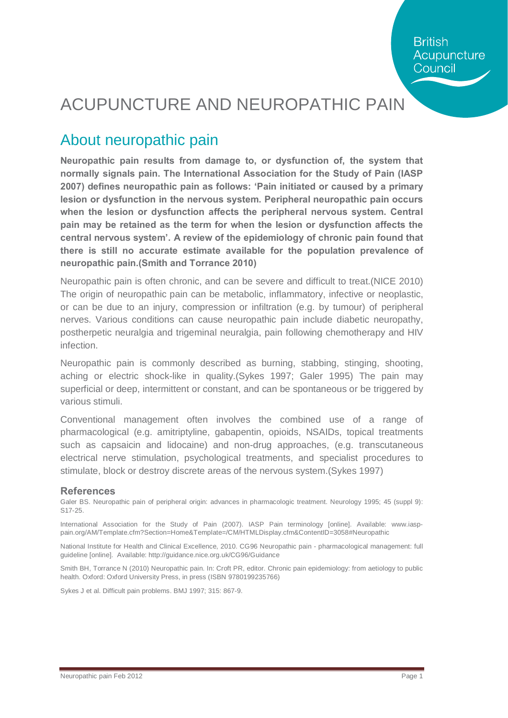## ACUPUNCTURE AND NEUROPATHIC PAIN

### About neuropathic pain

**Neuropathic pain results from damage to, or dysfunction of, the system that normally signals pain. The International Association for the Study of Pain (IASP 2007) defines neuropathic pain as follows: 'Pain initiated or caused by a primary lesion or dysfunction in the nervous system. Peripheral neuropathic pain occurs when the lesion or dysfunction affects the peripheral nervous system. Central pain may be retained as the term for when the lesion or dysfunction affects the central nervous system'. A review of the epidemiology of chronic pain found that there is still no accurate estimate available for the population prevalence of neuropathic pain.(Smith and Torrance 2010)**

Neuropathic pain is often chronic, and can be severe and difficult to treat.(NICE 2010) The origin of neuropathic pain can be metabolic, inflammatory, infective or neoplastic, or can be due to an injury, compression or infiltration (e.g. by tumour) of peripheral nerves. Various conditions can cause neuropathic pain include diabetic neuropathy, postherpetic neuralgia and trigeminal neuralgia, pain following chemotherapy and HIV infection.

Neuropathic pain is commonly described as burning, stabbing, stinging, shooting, aching or electric shock-like in quality.(Sykes 1997; Galer 1995) The pain may superficial or deep, intermittent or constant, and can be spontaneous or be triggered by various stimuli.

Conventional management often involves the combined use of a range of pharmacological (e.g. amitriptyline, gabapentin, opioids, NSAIDs, topical treatments such as capsaicin and lidocaine) and non-drug approaches, (e.g. transcutaneous electrical nerve stimulation, psychological treatments, and specialist procedures to stimulate, block or destroy discrete areas of the nervous system.(Sykes 1997)

#### **References**

Galer BS. Neuropathic pain of peripheral origin: advances in pharmacologic treatment. Neurology 1995; 45 (suppl 9): S17-25.

International Association for the Study of Pain (2007). IASP Pain terminology [online]. Available: www.iasppain.org/AM/Template.cfm?Section=Home&Template=/CM/HTMLDisplay.cfm&ContentID=3058#Neuropathic

National Institute for Health and Clinical Excellence, 2010. CG96 Neuropathic pain - pharmacological management: full guideline [online]. Available: htt[p://guidance.nice.org.uk/CG96/Guidance](http://guidance.nice.org.uk/CG96/Guidance)

Smith BH, Torrance N (2010) Neuropathic pain. In: Croft PR, editor. Chronic pain epidemiology: from aetiology to public health. Oxford: Oxford University Press, in press (ISBN 9780199235766)

Sykes J et al. Difficult pain problems. BMJ 1997; 315: 867-9.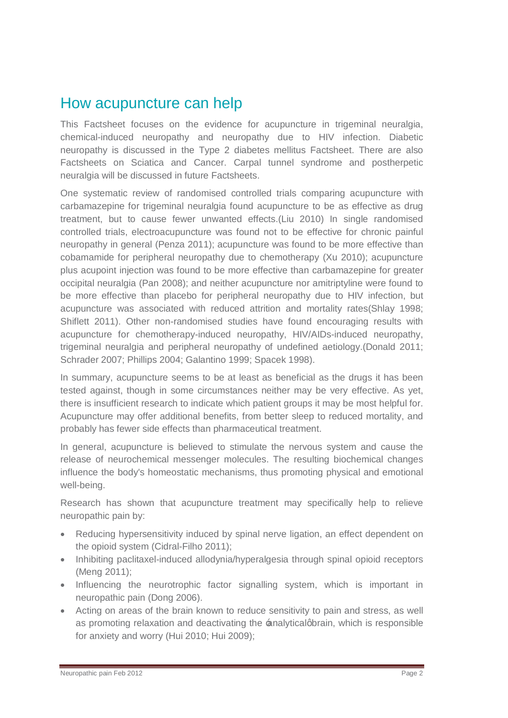#### How acupuncture can help

This Factsheet focuses on the evidence for acupuncture in trigeminal neuralgia, chemical-induced neuropathy and neuropathy due to HIV infection. Diabetic neuropathy is discussed in the Type 2 diabetes mellitus Factsheet. There are also Factsheets on Sciatica and Cancer. Carpal tunnel syndrome and postherpetic neuralgia will be discussed in future Factsheets.

One systematic review of randomised controlled trials comparing acupuncture with carbamazepine for trigeminal neuralgia found acupuncture to be as effective as drug treatment, but to cause fewer unwanted effects.(Liu 2010) In single randomised controlled trials, electroacupuncture was found not to be effective for chronic painful neuropathy in general (Penza 2011); acupuncture was found to be more effective than cobamamide for peripheral neuropathy due to chemotherapy (Xu 2010); acupuncture plus acupoint injection was found to be more effective than carbamazepine for greater occipital neuralgia (Pan 2008); and neither acupuncture nor amitriptyline were found to be more effective than placebo for peripheral neuropathy due to HIV infection, but acupuncture was associated with reduced attrition and mortality rates(Shlay 1998; Shiflett 2011). Other non-randomised studies have found encouraging results with acupuncture for chemotherapy-induced neuropathy, HIV/AIDs-induced neuropathy, trigeminal neuralgia and peripheral neuropathy of undefined aetiology.(Donald 2011; Schrader 2007; Phillips 2004; Galantino 1999; Spacek 1998).

In summary, acupuncture seems to be at least as beneficial as the drugs it has been tested against, though in some circumstances neither may be very effective. As yet, there is insufficient research to indicate which patient groups it may be most helpful for. Acupuncture may offer additional benefits, from better sleep to reduced mortality, and probably has fewer side effects than pharmaceutical treatment.

In general, acupuncture is believed to stimulate the nervous system and cause the release of neurochemical messenger molecules. The resulting biochemical changes influence the body's homeostatic mechanisms, thus promoting physical and emotional well-being.

Research has shown that acupuncture treatment may specifically help to relieve neuropathic pain by:

- Reducing hypersensitivity induced by spinal nerve ligation, an effect dependent on the opioid system (Cidral-Filho 2011);
- · Inhibiting paclitaxel-induced allodynia/hyperalgesia through spinal opioid receptors (Meng 2011);
- · Influencing the neurotrophic factor signalling system, which is important in neuropathic pain (Dong 2006).
- Acting on areas of the brain known to reduce sensitivity to pain and stress, as well as promoting relaxation and deactivating the  $analytical$  dearain, which is responsible for anxiety and worry (Hui 2010; Hui 2009);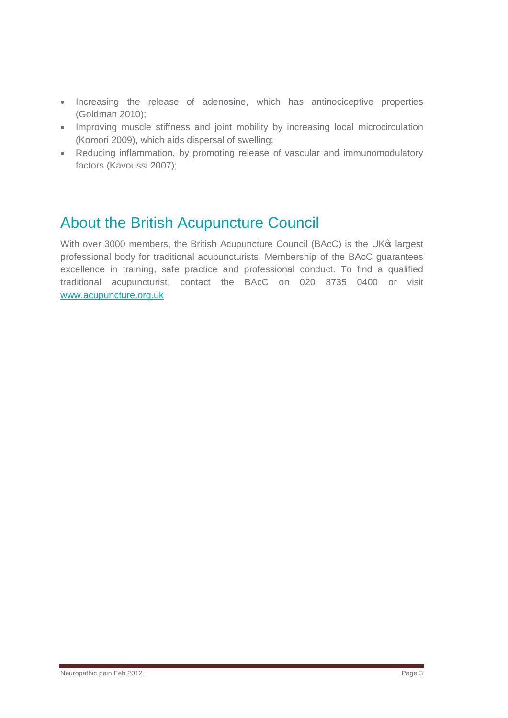- · Increasing the release of adenosine, which has antinociceptive properties (Goldman 2010);
- · Improving muscle stiffness and joint mobility by increasing local microcirculation (Komori 2009), which aids dispersal of swelling;
- · Reducing inflammation, by promoting release of vascular and immunomodulatory factors (Kavoussi 2007);

### About the British Acupuncture Council

With over 3000 members, the British Acupuncture Council (BAcC) is the UK® largest professional body for traditional acupuncturists. Membership of the BAcC guarantees excellence in training, safe practice and professional conduct. To find a qualified traditional acupuncturist, contact the BAcC on 020 8735 0400 or visit [www.acupuncture.org.uk](http://www.acupuncture.org.uk/)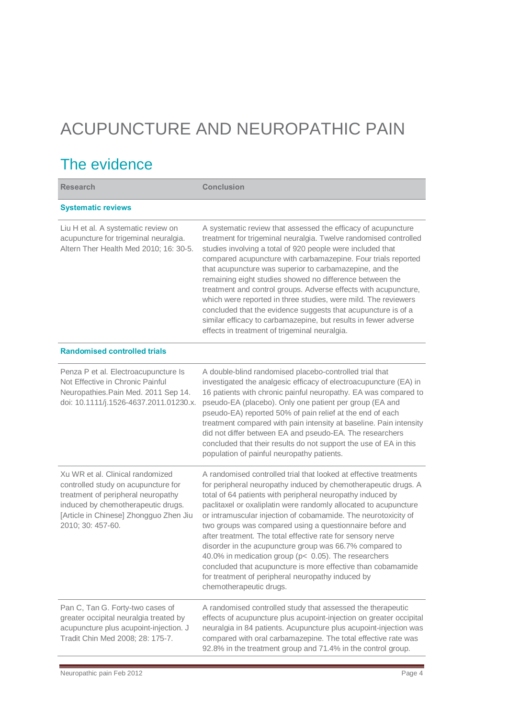# ACUPUNCTURE AND NEUROPATHIC PAIN

### The evidence

| <b>Research</b>                                                                                                                                                                                                    | <b>Conclusion</b>                                                                                                                                                                                                                                                                                                                                                                                                                                                                                                                                                                                                                                                                                                                     |
|--------------------------------------------------------------------------------------------------------------------------------------------------------------------------------------------------------------------|---------------------------------------------------------------------------------------------------------------------------------------------------------------------------------------------------------------------------------------------------------------------------------------------------------------------------------------------------------------------------------------------------------------------------------------------------------------------------------------------------------------------------------------------------------------------------------------------------------------------------------------------------------------------------------------------------------------------------------------|
| <b>Systematic reviews</b>                                                                                                                                                                                          |                                                                                                                                                                                                                                                                                                                                                                                                                                                                                                                                                                                                                                                                                                                                       |
| Liu H et al. A systematic review on<br>acupuncture for trigeminal neuralgia.<br>Altern Ther Health Med 2010; 16: 30-5.                                                                                             | A systematic review that assessed the efficacy of acupuncture<br>treatment for trigeminal neuralgia. Twelve randomised controlled<br>studies involving a total of 920 people were included that<br>compared acupuncture with carbamazepine. Four trials reported<br>that acupuncture was superior to carbamazepine, and the<br>remaining eight studies showed no difference between the<br>treatment and control groups. Adverse effects with acupuncture,<br>which were reported in three studies, were mild. The reviewers<br>concluded that the evidence suggests that acupuncture is of a<br>similar efficacy to carbamazepine, but results in fewer adverse<br>effects in treatment of trigeminal neuralgia.                     |
| <b>Randomised controlled trials</b>                                                                                                                                                                                |                                                                                                                                                                                                                                                                                                                                                                                                                                                                                                                                                                                                                                                                                                                                       |
| Penza P et al. Electroacupuncture Is<br>Not Effective in Chronic Painful<br>Neuropathies. Pain Med. 2011 Sep 14.<br>doi: 10.1111/j.1526-4637.2011.01230.x.                                                         | A double-blind randomised placebo-controlled trial that<br>investigated the analgesic efficacy of electroacupuncture (EA) in<br>16 patients with chronic painful neuropathy. EA was compared to<br>pseudo-EA (placebo). Only one patient per group (EA and<br>pseudo-EA) reported 50% of pain relief at the end of each<br>treatment compared with pain intensity at baseline. Pain intensity<br>did not differ between EA and pseudo-EA. The researchers<br>concluded that their results do not support the use of EA in this<br>population of painful neuropathy patients.                                                                                                                                                          |
| Xu WR et al. Clinical randomized<br>controlled study on acupuncture for<br>treatment of peripheral neuropathy<br>induced by chemotherapeutic drugs.<br>[Article in Chinese] Zhongguo Zhen Jiu<br>2010; 30: 457-60. | A randomised controlled trial that looked at effective treatments<br>for peripheral neuropathy induced by chemotherapeutic drugs. A<br>total of 64 patients with peripheral neuropathy induced by<br>paclitaxel or oxaliplatin were randomly allocated to acupuncture<br>or intramuscular injection of cobamamide. The neurotoxicity of<br>two groups was compared using a questionnaire before and<br>after treatment. The total effective rate for sensory nerve<br>disorder in the acupuncture group was 66.7% compared to<br>40.0% in medication group (p< 0.05). The researchers<br>concluded that acupuncture is more effective than cobamamide<br>for treatment of peripheral neuropathy induced by<br>chemotherapeutic drugs. |
| Pan C, Tan G. Forty-two cases of<br>greater occipital neuralgia treated by<br>acupuncture plus acupoint-injection. J<br>Tradit Chin Med 2008; 28: 175-7.                                                           | A randomised controlled study that assessed the therapeutic<br>effects of acupuncture plus acupoint-injection on greater occipital<br>neuralgia in 84 patients. Acupuncture plus acupoint-injection was<br>compared with oral carbamazepine. The total effective rate was<br>92.8% in the treatment group and 71.4% in the control group.                                                                                                                                                                                                                                                                                                                                                                                             |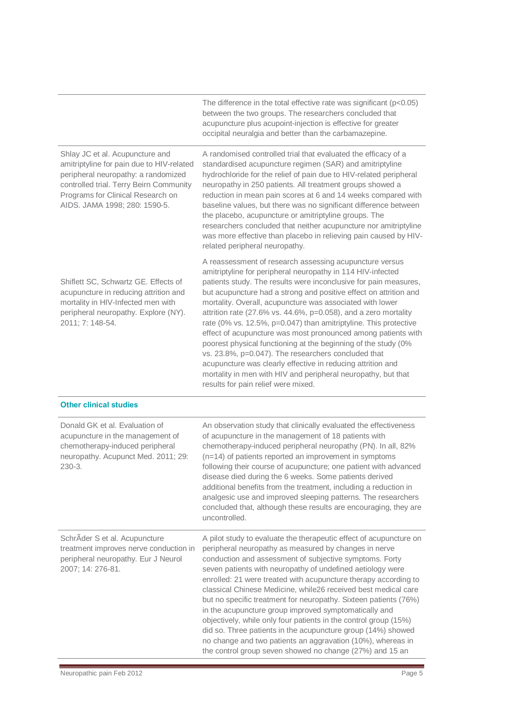|                                                                                                                                                                                                                                      | The difference in the total effective rate was significant ( $p < 0.05$ )<br>between the two groups. The researchers concluded that<br>acupuncture plus acupoint-injection is effective for greater<br>occipital neuralgia and better than the carbamazepine.                                                                                                                                                                                                                                                                                                                                                                                                                                                                                                                                                                        |
|--------------------------------------------------------------------------------------------------------------------------------------------------------------------------------------------------------------------------------------|--------------------------------------------------------------------------------------------------------------------------------------------------------------------------------------------------------------------------------------------------------------------------------------------------------------------------------------------------------------------------------------------------------------------------------------------------------------------------------------------------------------------------------------------------------------------------------------------------------------------------------------------------------------------------------------------------------------------------------------------------------------------------------------------------------------------------------------|
| Shlay JC et al. Acupuncture and<br>amitriptyline for pain due to HIV-related<br>peripheral neuropathy: a randomized<br>controlled trial. Terry Beirn Community<br>Programs for Clinical Research on<br>AIDS. JAMA 1998; 280: 1590-5. | A randomised controlled trial that evaluated the efficacy of a<br>standardised acupuncture regimen (SAR) and amitriptyline<br>hydrochloride for the relief of pain due to HIV-related peripheral<br>neuropathy in 250 patients. All treatment groups showed a<br>reduction in mean pain scores at 6 and 14 weeks compared with<br>baseline values, but there was no significant difference between<br>the placebo, acupuncture or amitriptyline groups. The<br>researchers concluded that neither acupuncture nor amitriptyline<br>was more effective than placebo in relieving pain caused by HIV-<br>related peripheral neuropathy.                                                                                                                                                                                                |
| Shiflett SC, Schwartz GE. Effects of<br>acupuncture in reducing attrition and<br>mortality in HIV-Infected men with<br>peripheral neuropathy. Explore (NY).<br>2011; 7: 148-54.                                                      | A reassessment of research assessing acupuncture versus<br>amitriptyline for peripheral neuropathy in 114 HIV-infected<br>patients study. The results were inconclusive for pain measures,<br>but acupuncture had a strong and positive effect on attrition and<br>mortality. Overall, acupuncture was associated with lower<br>attrition rate (27.6% vs. 44.6%, p=0.058), and a zero mortality<br>rate (0% vs. 12.5%, p=0.047) than amitriptyline. This protective<br>effect of acupuncture was most pronounced among patients with<br>poorest physical functioning at the beginning of the study (0%<br>vs. 23.8%, p=0.047). The researchers concluded that<br>acupuncture was clearly effective in reducing attrition and<br>mortality in men with HIV and peripheral neuropathy, but that<br>results for pain relief were mixed. |
| <b>Other clinical studies</b>                                                                                                                                                                                                        |                                                                                                                                                                                                                                                                                                                                                                                                                                                                                                                                                                                                                                                                                                                                                                                                                                      |
| Donald GK et al. Evaluation of<br>acupuncture in the management of<br>chemotherapy-induced peripheral<br>neuropathy. Acupunct Med. 2011; 29:<br>$230-3.$                                                                             | An observation study that clinically evaluated the effectiveness<br>of acupuncture in the management of 18 patients with<br>chemotherapy-induced peripheral neuropathy (PN). In all, 82%<br>(n=14) of patients reported an improvement in symptoms<br>following their course of acupuncture; one patient with advanced<br>disease died during the 6 weeks. Some patients derived<br>additional benefits from the treatment, including a reduction in<br>analgesic use and improved sleeping patterns. The researchers<br>concluded that, although these results are encouraging, they are<br>uncontrolled.                                                                                                                                                                                                                           |
| SchrÄder S et al. Acupuncture<br>treatment improves nerve conduction in<br>peripheral neuropathy. Eur J Neurol<br>2007; 14: 276-81.                                                                                                  | A pilot study to evaluate the therapeutic effect of acupuncture on<br>peripheral neuropathy as measured by changes in nerve<br>conduction and assessment of subjective symptoms. Forty<br>seven patients with neuropathy of undefined aetiology were<br>enrolled: 21 were treated with acupuncture therapy according to<br>classical Chinese Medicine, while26 received best medical care<br>but no specific treatment for neuropathy. Sixteen patients (76%)<br>in the acupuncture group improved symptomatically and<br>objectively, while only four patients in the control group (15%)<br>did so. Three patients in the acupuncture group (14%) showed<br>no change and two patients an aggravation (10%), whereas in<br>the control group seven showed no change (27%) and 15 an                                                |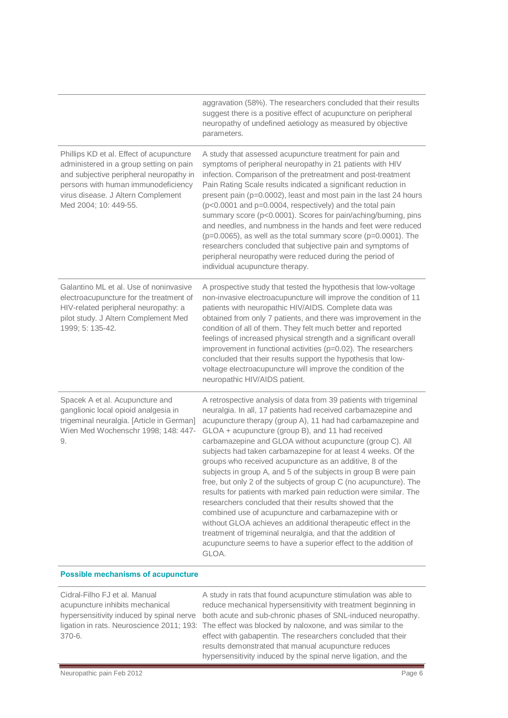|                                                                                                                                                                                                                                      | aggravation (58%). The researchers concluded that their results<br>suggest there is a positive effect of acupuncture on peripheral<br>neuropathy of undefined aetiology as measured by objective<br>parameters.                                                                                                                                                                                                                                                                                                                                                                                                                                                                                                                                                                                                                                                                                                                                                                               |
|--------------------------------------------------------------------------------------------------------------------------------------------------------------------------------------------------------------------------------------|-----------------------------------------------------------------------------------------------------------------------------------------------------------------------------------------------------------------------------------------------------------------------------------------------------------------------------------------------------------------------------------------------------------------------------------------------------------------------------------------------------------------------------------------------------------------------------------------------------------------------------------------------------------------------------------------------------------------------------------------------------------------------------------------------------------------------------------------------------------------------------------------------------------------------------------------------------------------------------------------------|
| Phillips KD et al. Effect of acupuncture<br>administered in a group setting on pain<br>and subjective peripheral neuropathy in<br>persons with human immunodeficiency<br>virus disease. J Altern Complement<br>Med 2004; 10: 449-55. | A study that assessed acupuncture treatment for pain and<br>symptoms of peripheral neuropathy in 21 patients with HIV<br>infection. Comparison of the pretreatment and post-treatment<br>Pain Rating Scale results indicated a significant reduction in<br>present pain (p=0.0002), least and most pain in the last 24 hours<br>(p<0.0001 and p=0.0004, respectively) and the total pain<br>summary score (p<0.0001). Scores for pain/aching/burning, pins<br>and needles, and numbness in the hands and feet were reduced<br>$(p=0.0065)$ , as well as the total summary score $(p=0.0001)$ . The<br>researchers concluded that subjective pain and symptoms of<br>peripheral neuropathy were reduced during the period of<br>individual acupuncture therapy.                                                                                                                                                                                                                                |
| Galantino ML et al. Use of noninvasive<br>electroacupuncture for the treatment of<br>HIV-related peripheral neuropathy: a<br>pilot study. J Altern Complement Med<br>1999; 5: 135-42.                                                | A prospective study that tested the hypothesis that low-voltage<br>non-invasive electroacupuncture will improve the condition of 11<br>patients with neuropathic HIV/AIDS. Complete data was<br>obtained from only 7 patients, and there was improvement in the<br>condition of all of them. They felt much better and reported<br>feelings of increased physical strength and a significant overall<br>improvement in functional activities (p=0.02). The researchers<br>concluded that their results support the hypothesis that low-<br>voltage electroacupuncture will improve the condition of the<br>neuropathic HIV/AIDS patient.                                                                                                                                                                                                                                                                                                                                                      |
| Spacek A et al. Acupuncture and<br>ganglionic local opioid analgesia in<br>trigeminal neuralgia. [Article in German]<br>Wien Med Wochenschr 1998; 148: 447-<br>9.                                                                    | A retrospective analysis of data from 39 patients with trigeminal<br>neuralgia. In all, 17 patients had received carbamazepine and<br>acupuncture therapy (group A), 11 had had carbamazepine and<br>GLOA + acupuncture (group B), and 11 had received<br>carbamazepine and GLOA without acupuncture (group C). All<br>subjects had taken carbamazepine for at least 4 weeks. Of the<br>groups who received acupuncture as an additive, 8 of the<br>subjects in group A, and 5 of the subjects in group B were pain<br>free, but only 2 of the subjects of group C (no acupuncture). The<br>results for patients with marked pain reduction were similar. The<br>researchers concluded that their results showed that the<br>combined use of acupuncture and carbamazepine with or<br>without GLOA achieves an additional therapeutic effect in the<br>treatment of trigeminal neuralgia, and that the addition of<br>acupuncture seems to have a superior effect to the addition of<br>GLOA. |

#### **Possible mechanisms of acupuncture**

| Cidral-Filho FJ et al. Manual   | A study in rats that found acupuncture stimulation was able to                                        |
|---------------------------------|-------------------------------------------------------------------------------------------------------|
| acupuncture inhibits mechanical | reduce mechanical hypersensitivity with treatment beginning in                                        |
|                                 | hypersensitivity induced by spinal nerve both acute and sub-chronic phases of SNL-induced neuropathy. |
|                                 | ligation in rats. Neuroscience 2011; 193: The effect was blocked by naloxone, and was similar to the  |
| 370-6.                          | effect with gabapentin. The researchers concluded that their                                          |
|                                 | results demonstrated that manual acupuncture reduces                                                  |
|                                 | hypersensitivity induced by the spinal nerve ligation, and the                                        |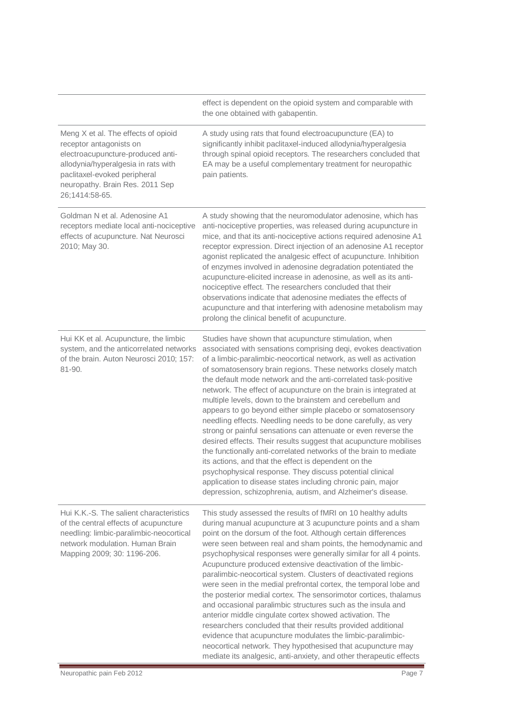|                                                                                                                                                                                                                                 | effect is dependent on the opioid system and comparable with<br>the one obtained with gabapentin.                                                                                                                                                                                                                                                                                                                                                                                                                                                                                                                                                                                                                                                                                                                                                                                                                                                                                                                                                               |
|---------------------------------------------------------------------------------------------------------------------------------------------------------------------------------------------------------------------------------|-----------------------------------------------------------------------------------------------------------------------------------------------------------------------------------------------------------------------------------------------------------------------------------------------------------------------------------------------------------------------------------------------------------------------------------------------------------------------------------------------------------------------------------------------------------------------------------------------------------------------------------------------------------------------------------------------------------------------------------------------------------------------------------------------------------------------------------------------------------------------------------------------------------------------------------------------------------------------------------------------------------------------------------------------------------------|
| Meng X et al. The effects of opioid<br>receptor antagonists on<br>electroacupuncture-produced anti-<br>allodynia/hyperalgesia in rats with<br>paclitaxel-evoked peripheral<br>neuropathy. Brain Res. 2011 Sep<br>26;1414:58-65. | A study using rats that found electroacupuncture (EA) to<br>significantly inhibit paclitaxel-induced allodynia/hyperalgesia<br>through spinal opioid receptors. The researchers concluded that<br>EA may be a useful complementary treatment for neuropathic<br>pain patients.                                                                                                                                                                                                                                                                                                                                                                                                                                                                                                                                                                                                                                                                                                                                                                                  |
| Goldman N et al. Adenosine A1<br>receptors mediate local anti-nociceptive<br>effects of acupuncture. Nat Neurosci<br>2010; May 30.                                                                                              | A study showing that the neuromodulator adenosine, which has<br>anti-nociceptive properties, was released during acupuncture in<br>mice, and that its anti-nociceptive actions required adenosine A1<br>receptor expression. Direct injection of an adenosine A1 receptor<br>agonist replicated the analgesic effect of acupuncture. Inhibition<br>of enzymes involved in adenosine degradation potentiated the<br>acupuncture-elicited increase in adenosine, as well as its anti-<br>nociceptive effect. The researchers concluded that their<br>observations indicate that adenosine mediates the effects of<br>acupuncture and that interfering with adenosine metabolism may<br>prolong the clinical benefit of acupuncture.                                                                                                                                                                                                                                                                                                                               |
| Hui KK et al. Acupuncture, the limbic<br>system, and the anticorrelated networks<br>of the brain. Auton Neurosci 2010; 157:<br>81-90.                                                                                           | Studies have shown that acupuncture stimulation, when<br>associated with sensations comprising deqi, evokes deactivation<br>of a limbic-paralimbic-neocortical network, as well as activation<br>of somatosensory brain regions. These networks closely match<br>the default mode network and the anti-correlated task-positive<br>network. The effect of acupuncture on the brain is integrated at<br>multiple levels, down to the brainstem and cerebellum and<br>appears to go beyond either simple placebo or somatosensory<br>needling effects. Needling needs to be done carefully, as very<br>strong or painful sensations can attenuate or even reverse the<br>desired effects. Their results suggest that acupuncture mobilises<br>the functionally anti-correlated networks of the brain to mediate<br>its actions, and that the effect is dependent on the<br>psychophysical response. They discuss potential clinical<br>application to disease states including chronic pain, major<br>depression, schizophrenia, autism, and Alzheimer's disease. |
| Hui K.K.-S. The salient characteristics<br>of the central effects of acupuncture<br>needling: limbic-paralimbic-neocortical<br>network modulation. Human Brain<br>Mapping 2009; 30: 1196-206.                                   | This study assessed the results of fMRI on 10 healthy adults<br>during manual acupuncture at 3 acupuncture points and a sham<br>point on the dorsum of the foot. Although certain differences<br>were seen between real and sham points, the hemodynamic and<br>psychophysical responses were generally similar for all 4 points.<br>Acupuncture produced extensive deactivation of the limbic-<br>paralimbic-neocortical system. Clusters of deactivated regions<br>were seen in the medial prefrontal cortex, the temporal lobe and<br>the posterior medial cortex. The sensorimotor cortices, thalamus<br>and occasional paralimbic structures such as the insula and<br>anterior middle cingulate cortex showed activation. The<br>researchers concluded that their results provided additional<br>evidence that acupuncture modulates the limbic-paralimbic-<br>neocortical network. They hypothesised that acupuncture may<br>mediate its analgesic, anti-anxiety, and other therapeutic effects                                                          |